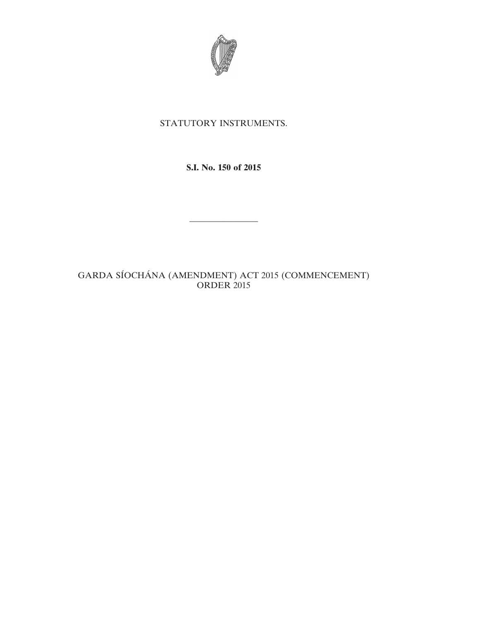

## STATUTORY INSTRUMENTS.

**S.I. No. 150 of 2015**

————————

GARDA SÍOCHÁNA (AMENDMENT) ACT 2015 (COMMENCEMENT) ORDER 2015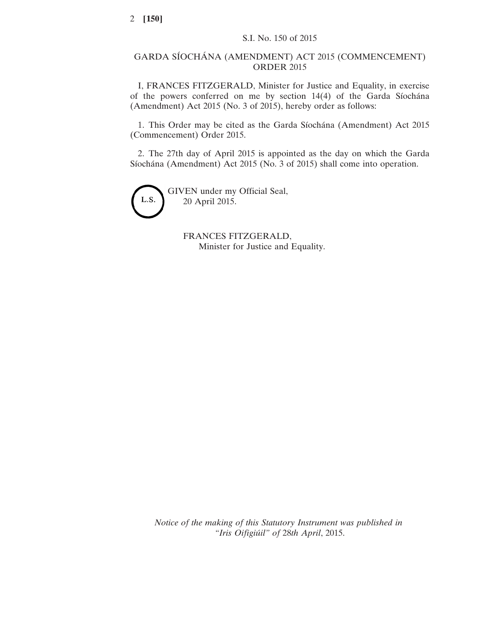## GARDA SÍOCHÁNA (AMENDMENT) ACT 2015 (COMMENCEMENT) ORDER 2015

I, FRANCES FITZGERALD, Minister for Justice and Equality, in exercise of the powers conferred on me by section 14(4) of the Garda Síochána (Amendment) Act 2015 (No. 3 of 2015), hereby order as follows:

1. This Order may be cited as the Garda Síochána (Amendment) Act 2015 (Commencement) Order 2015.

2. The 27th day of April 2015 is appointed as the day on which the Garda Síochána (Amendment) Act 2015 (No. 3 of 2015) shall come into operation.



GIVEN under my Official Seal, 20 April 2015.

> FRANCES FITZGERALD, Minister for Justice and Equality.

*Notice of the making of this Statutory Instrument was published in "Iris Oifigiúil" of* 28*th April*, 2015.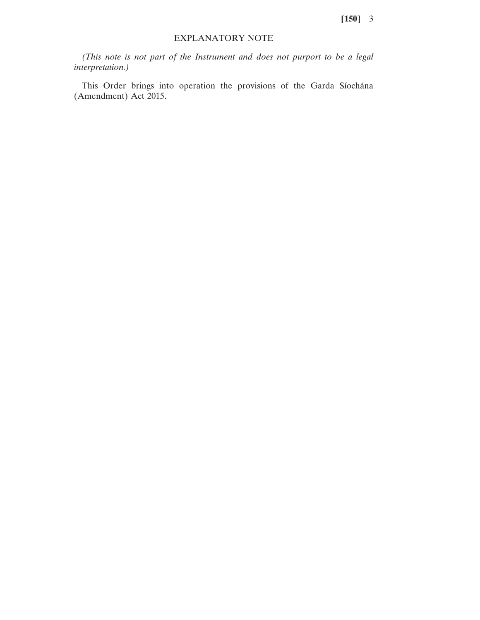## EXPLANATORY NOTE

*(This note is not part of the Instrument and does not purport to be a legal interpretation.)*

This Order brings into operation the provisions of the Garda Síochána (Amendment) Act 2015.